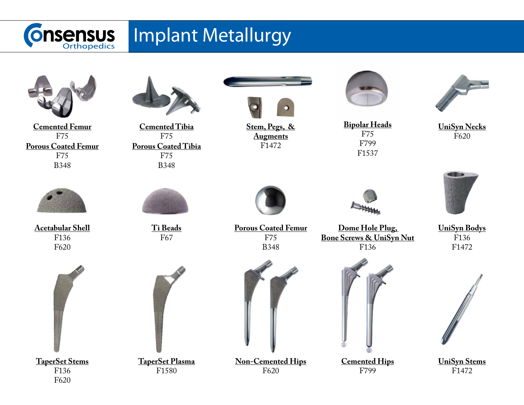

## Implant Metallurgy





**Bipolar Heads** F75 F799 F1537



**Dome Hole Plug, Bone Screws & UniSyn Nut** F136



**Cemented Hips** F799



**UniSyn Necks** F620



**UniSyn Bodys** F136 F1472



**UniSyn Stems** F1472



**Acetabular Shell** F136 F620



F620